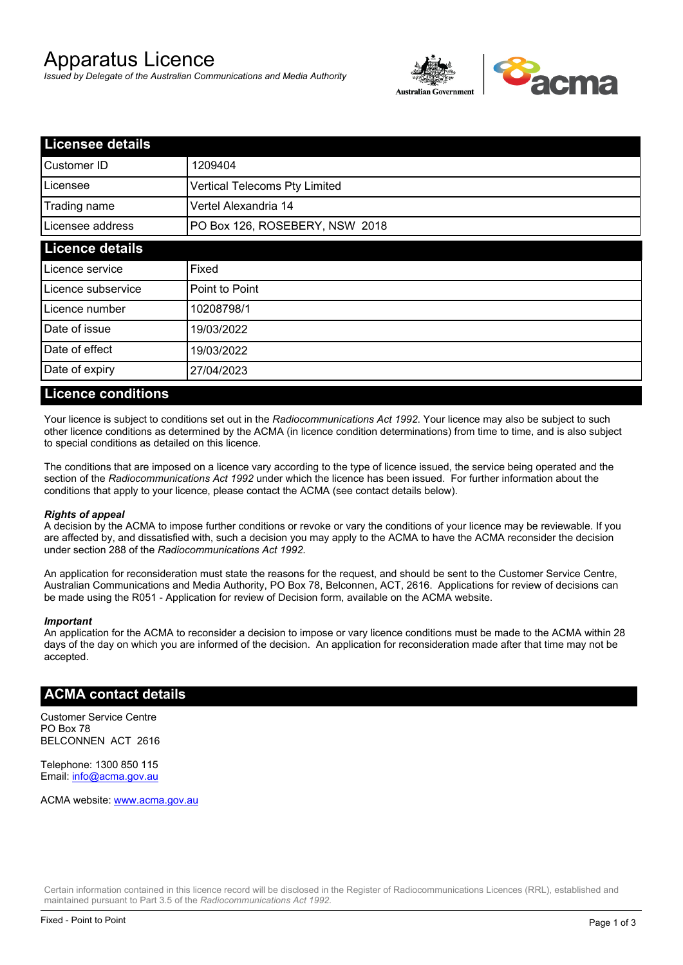# Apparatus Licence

*Issued by Delegate of the Australian Communications and Media Authority*



| <b>Licensee details</b> |                                |  |
|-------------------------|--------------------------------|--|
| Customer ID             | 1209404                        |  |
| Licensee                | Vertical Telecoms Pty Limited  |  |
| Trading name            | Vertel Alexandria 14           |  |
| Licensee address        | PO Box 126, ROSEBERY, NSW 2018 |  |
| <b>Licence details</b>  |                                |  |
| Licence service         | Fixed                          |  |
| Licence subservice      | Point to Point                 |  |
| Licence number          | 10208798/1                     |  |
| Date of issue           | 19/03/2022                     |  |
| Date of effect          | 19/03/2022                     |  |
| Date of expiry          | 27/04/2023                     |  |

### **Licence conditions**

Your licence is subject to conditions set out in the *Radiocommunications Act 1992*. Your licence may also be subject to such other licence conditions as determined by the ACMA (in licence condition determinations) from time to time, and is also subject to special conditions as detailed on this licence.

The conditions that are imposed on a licence vary according to the type of licence issued, the service being operated and the section of the *Radiocommunications Act 1992* under which the licence has been issued. For further information about the conditions that apply to your licence, please contact the ACMA (see contact details below).

#### *Rights of appeal*

A decision by the ACMA to impose further conditions or revoke or vary the conditions of your licence may be reviewable. If you are affected by, and dissatisfied with, such a decision you may apply to the ACMA to have the ACMA reconsider the decision under section 288 of the *Radiocommunications Act 1992*.

An application for reconsideration must state the reasons for the request, and should be sent to the Customer Service Centre, Australian Communications and Media Authority, PO Box 78, Belconnen, ACT, 2616. Applications for review of decisions can be made using the R051 - Application for review of Decision form, available on the ACMA website.

#### *Important*

An application for the ACMA to reconsider a decision to impose or vary licence conditions must be made to the ACMA within 28 days of the day on which you are informed of the decision. An application for reconsideration made after that time may not be accepted.

#### **ACMA contact details**

Customer Service Centre PO Box 78 BELCONNEN ACT 2616

Telephone: 1300 850 115 Email: info@acma.gov.au

ACMA website: www.acma.gov.au

Certain information contained in this licence record will be disclosed in the Register of Radiocommunications Licences (RRL), established and maintained pursuant to Part 3.5 of the *Radiocommunications Act 1992.*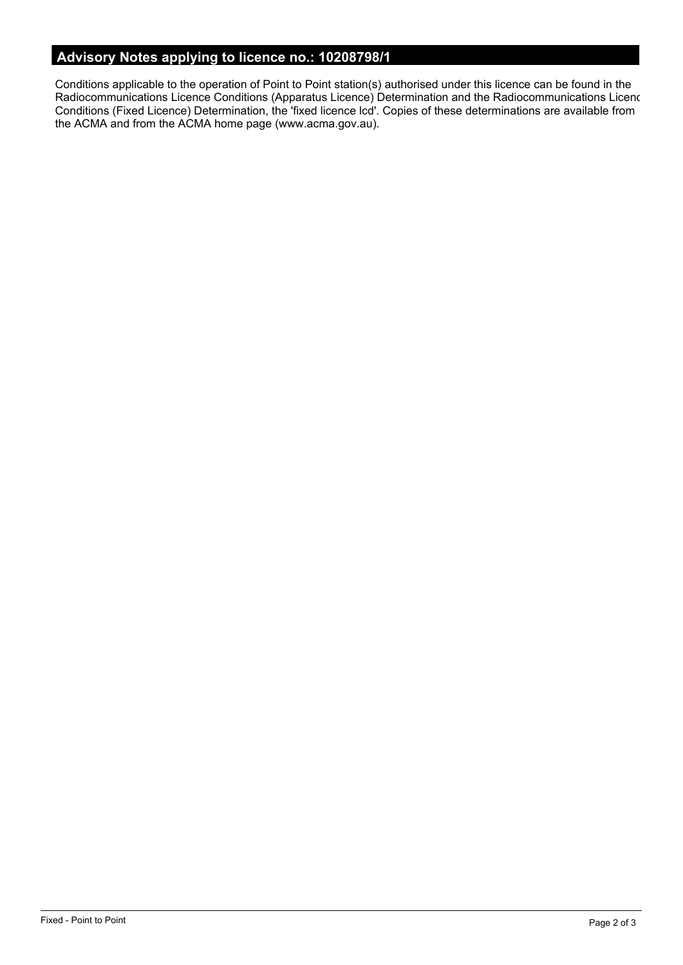# **Advisory Notes applying to licence no.: 10208798/1**

Conditions applicable to the operation of Point to Point station(s) authorised under this licence can be found in the Radiocommunications Licence Conditions (Apparatus Licence) Determination and the Radiocommunications Licence Conditions (Fixed Licence) Determination, the 'fixed licence lcd'. Copies of these determinations are available from the ACMA and from the ACMA home page (www.acma.gov.au).